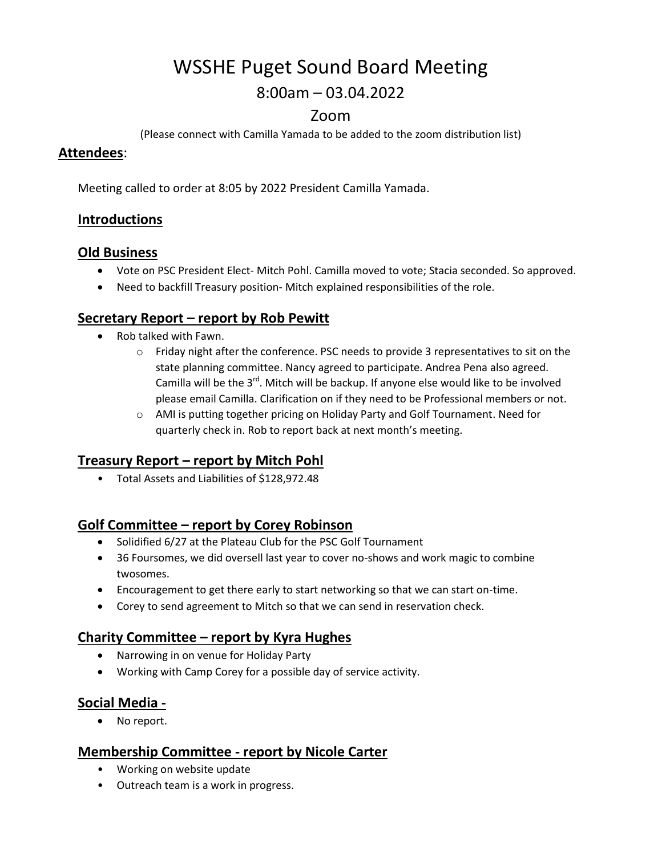# WSSHE Puget Sound Board Meeting

# 8:00am – 03.04.2022

## Zoom

(Please connect with Camilla Yamada to be added to the zoom distribution list)

#### **Attendees**:

Meeting called to order at 8:05 by 2022 President Camilla Yamada.

## **Introductions**

#### **Old Business**

- Vote on PSC President Elect- Mitch Pohl. Camilla moved to vote; Stacia seconded. So approved.
- Need to backfill Treasury position- Mitch explained responsibilities of the role.

#### **Secretary Report – report by Rob Pewitt**

- Rob talked with Fawn.
	- $\circ$  Friday night after the conference. PSC needs to provide 3 representatives to sit on the state planning committee. Nancy agreed to participate. Andrea Pena also agreed. Camilla will be the  $3^{rd}$ . Mitch will be backup. If anyone else would like to be involved please email Camilla. Clarification on if they need to be Professional members or not.
	- o AMI is putting together pricing on Holiday Party and Golf Tournament. Need for quarterly check in. Rob to report back at next month's meeting.

#### **Treasury Report – report by Mitch Pohl**

• Total Assets and Liabilities of \$128,972.48

#### **Golf Committee – report by Corey Robinson**

- Solidified 6/27 at the Plateau Club for the PSC Golf Tournament
- 36 Foursomes, we did oversell last year to cover no-shows and work magic to combine twosomes.
- Encouragement to get there early to start networking so that we can start on-time.
- Corey to send agreement to Mitch so that we can send in reservation check.

#### **Charity Committee – report by Kyra Hughes**

- Narrowing in on venue for Holiday Party
- Working with Camp Corey for a possible day of service activity.

#### **Social Media -**

• No report.

#### **Membership Committee - report by Nicole Carter**

- Working on website update
- Outreach team is a work in progress.